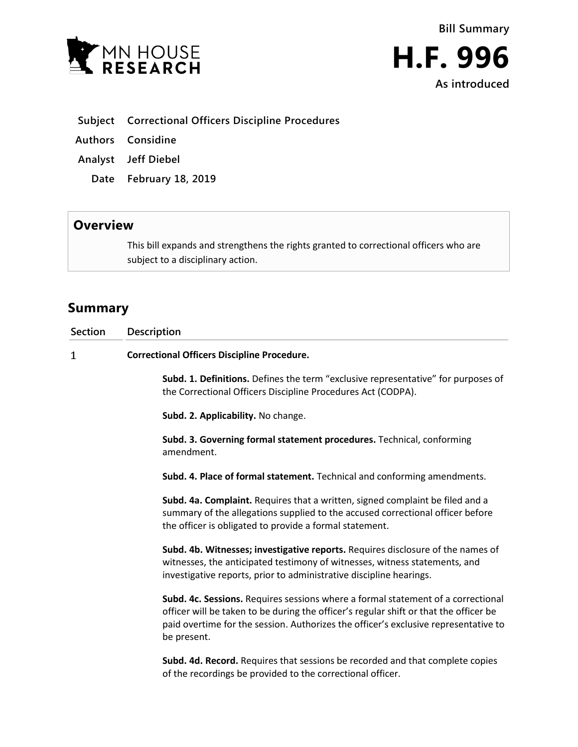

- **Subject Correctional Officers Discipline Procedures**
- **Authors Considine**
- **Analyst Jeff Diebel**
	- **Date February 18, 2019**

## **Overview**

This bill expands and strengthens the rights granted to correctional officers who are subject to a disciplinary action.

## **Summary**

| <b>Section</b> | Description                                                                                                                                                                                                                                                                     |
|----------------|---------------------------------------------------------------------------------------------------------------------------------------------------------------------------------------------------------------------------------------------------------------------------------|
| 1              | <b>Correctional Officers Discipline Procedure.</b>                                                                                                                                                                                                                              |
|                | Subd. 1. Definitions. Defines the term "exclusive representative" for purposes of<br>the Correctional Officers Discipline Procedures Act (CODPA).                                                                                                                               |
|                | Subd. 2. Applicability. No change.                                                                                                                                                                                                                                              |
|                | Subd. 3. Governing formal statement procedures. Technical, conforming<br>amendment.                                                                                                                                                                                             |
|                | Subd. 4. Place of formal statement. Technical and conforming amendments.                                                                                                                                                                                                        |
|                | Subd. 4a. Complaint. Requires that a written, signed complaint be filed and a<br>summary of the allegations supplied to the accused correctional officer before<br>the officer is obligated to provide a formal statement.                                                      |
|                | Subd. 4b. Witnesses; investigative reports. Requires disclosure of the names of<br>witnesses, the anticipated testimony of witnesses, witness statements, and<br>investigative reports, prior to administrative discipline hearings.                                            |
|                | Subd. 4c. Sessions. Requires sessions where a formal statement of a correctional<br>officer will be taken to be during the officer's regular shift or that the officer be<br>paid overtime for the session. Authorizes the officer's exclusive representative to<br>be present. |
|                | Subd. 4d. Record. Requires that sessions be recorded and that complete copies<br>of the recordings be provided to the correctional officer.                                                                                                                                     |